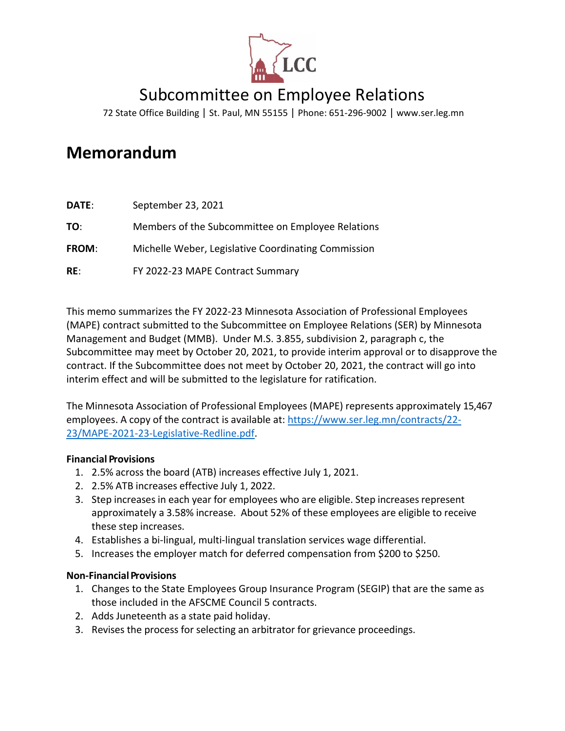

# Subcommittee on Employee Relations

72 State Office Building | St. Paul, MN 55155 | Phone: 651-296-9002 | [www.ser.leg.mn](http://www.ser.leg.mn/)

# **Memorandum**

| DATE:        | September 23, 2021                                  |
|--------------|-----------------------------------------------------|
| TO:          | Members of the Subcommittee on Employee Relations   |
| <b>FROM:</b> | Michelle Weber, Legislative Coordinating Commission |
| RE:          | FY 2022-23 MAPE Contract Summary                    |

This memo summarizes the FY 2022-23 Minnesota Association of Professional Employees (MAPE) contract submitted to the Subcommittee on Employee Relations (SER) by Minnesota Management and Budget (MMB). Under M.S. 3.855, subdivision 2, paragraph c, the Subcommittee may meet by October 20, 2021, to provide interim approval or to disapprove the contract. If the Subcommittee does not meet by October 20, 2021, the contract will go into interim effect and will be submitted to the legislature for ratification.

The Minnesota Association of Professional Employees (MAPE) represents approximately 15,467 employees. A copy of the contract is available at: [https://www.ser.leg.mn/contracts/22-](https://www.ser.leg.mn/contracts/22-23/MAPE-2021-23-Legislative-Redline.pdf) [23/MAPE-2021-23-Legislative-Redline.pdf.](https://www.ser.leg.mn/contracts/22-23/MAPE-2021-23-Legislative-Redline.pdf)

# **Financial Provisions**

- 1. 2.5% across the board (ATB) increases effective July 1, 2021.
- 2. 2.5% ATB increases effective July 1, 2022.
- 3. Step increases in each year for employees who are eligible. Step increases represent approximately a 3.58% increase. About 52% of these employees are eligible to receive these step increases.
- 4. Establishes a bi-lingual, multi-lingual translation services wage differential.
- 5. Increases the employer match for deferred compensation from \$200 to \$250.

# **Non-Financial Provisions**

- 1. Changes to the State Employees Group Insurance Program (SEGIP) that are the same as those included in the AFSCME Council 5 contracts.
- 2. Adds Juneteenth as a state paid holiday.
- 3. Revises the process for selecting an arbitrator for grievance proceedings.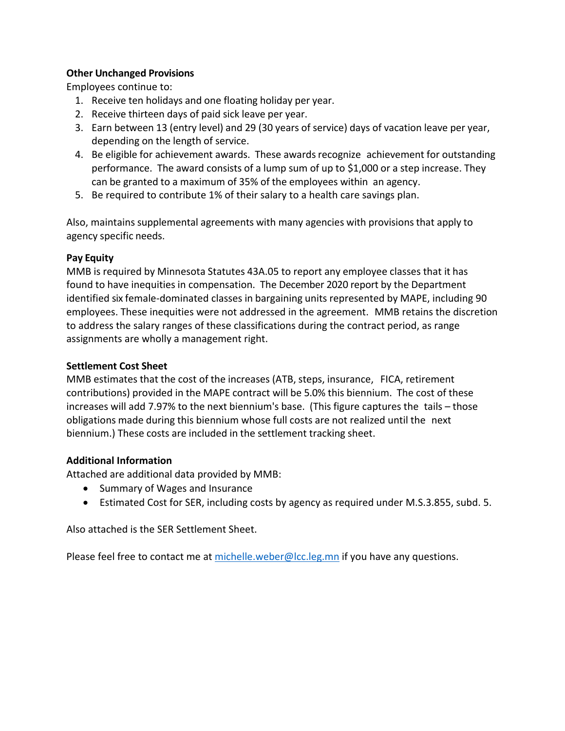# **Other Unchanged Provisions**

Employees continue to:

- 1. Receive ten holidays and one floating holiday per year.
- 2. Receive thirteen days of paid sick leave per year.
- 3. Earn between 13 (entry level) and 29 (30 years of service) days of vacation leave per year, depending on the length of service.
- 4. Be eligible for achievement awards. These awards recognize achievement for outstanding performance. The award consists of a lump sum of up to \$1,000 or a step increase. They can be granted to a maximum of 35% of the employees within an agency.
- 5. Be required to contribute 1% of their salary to a health care savings plan.

Also, maintains supplemental agreements with many agencies with provisions that apply to agency specific needs.

# **Pay Equity**

MMB is required by Minnesota Statutes 43A.05 to report any employee classes that it has found to have inequities in compensation. The December 2020 report by the Department identified six female-dominated classes in bargaining units represented by MAPE, including 90 employees. These inequities were not addressed in the agreement. MMB retains the discretion to address the salary ranges of these classifications during the contract period, as range assignments are wholly a management right.

# **Settlement Cost Sheet**

MMB estimates that the cost of the increases (ATB, steps, insurance, FICA, retirement contributions) provided in the MAPE contract will be 5.0% this biennium. The cost of these increases will add 7.97% to the next biennium's base. (This figure captures the tails – those obligations made during this biennium whose full costs are not realized until the next biennium.) These costs are included in the settlement tracking sheet.

# **Additional Information**

Attached are additional data provided by MMB:

- Summary of Wages and Insurance
- Estimated Cost for SER, including costs by agency as required under M.S.3.855, subd. 5.

Also attached is the SER Settlement Sheet.

Please feel free to contact me a[t michelle.weber@lcc.leg.mn](mailto:michelle.weber@lcc.leg.mn) if you have any questions.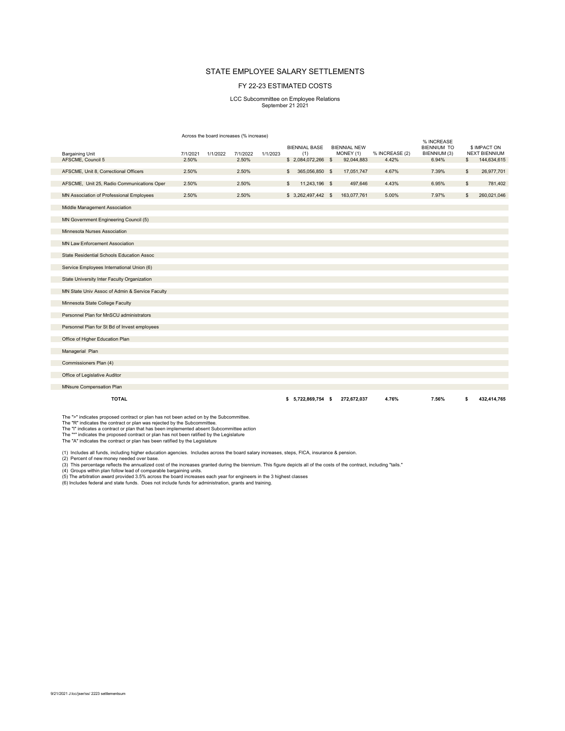#### STATE EMPLOYEE SALARY SETTLEMENTS

#### FY 22-23 ESTIMATED COSTS

# LCC Subcommittee on Employee Relations September 21 2021

Across the board increases (% increase)

| <b>Bargaining Unit</b>                         | 7/1/2021 | 1/1/2022 | 7/1/2022 | 1/1/2023 | <b>BIENNIAL BASE</b><br>(1) | <b>BIENNIAL NEW</b><br>MONEY (1) | % INCREASE (2) | % INCREASE<br><b>BIENNIUM TO</b><br>BIENNIUM (3) |              | \$ IMPACT ON<br><b>NEXT BIENNIUM</b> |
|------------------------------------------------|----------|----------|----------|----------|-----------------------------|----------------------------------|----------------|--------------------------------------------------|--------------|--------------------------------------|
| AFSCME, Council 5                              | 2.50%    |          | 2.50%    |          | $$2,084,072,266$ \$         | 92,044,883                       | 4.42%          | 6.94%                                            | s.           | 144,634,615                          |
|                                                |          |          |          |          |                             |                                  |                |                                                  |              |                                      |
| AFSCME, Unit 8, Correctional Officers          | 2.50%    |          | 2.50%    |          | \$<br>365,056,850 \$        | 17,051,747                       | 4.67%          | 7.39%                                            | $\mathbb{S}$ | 26,977,701                           |
| AFSCME, Unit 25, Radio Communications Oper     | 2.50%    |          | 2.50%    |          | \$<br>11,243,196 \$         | 497,646                          | 4.43%          | 6.95%                                            | \$           | 781,402                              |
| MN Association of Professional Employees       | 2.50%    |          | 2.50%    |          | $$3,262,497,442$ \$         | 163,077,761                      | 5.00%          | 7.97%                                            | \$           | 260,021,046                          |
| Middle Management Association                  |          |          |          |          |                             |                                  |                |                                                  |              |                                      |
| MN Government Engineering Council (5)          |          |          |          |          |                             |                                  |                |                                                  |              |                                      |
| Minnesota Nurses Association                   |          |          |          |          |                             |                                  |                |                                                  |              |                                      |
| <b>MN Law Enforcement Association</b>          |          |          |          |          |                             |                                  |                |                                                  |              |                                      |
| State Residential Schools Education Assoc      |          |          |          |          |                             |                                  |                |                                                  |              |                                      |
| Service Employees International Union (6)      |          |          |          |          |                             |                                  |                |                                                  |              |                                      |
| State University Inter Faculty Organization    |          |          |          |          |                             |                                  |                |                                                  |              |                                      |
| MN State Univ Assoc of Admin & Service Faculty |          |          |          |          |                             |                                  |                |                                                  |              |                                      |
| Minnesota State College Faculty                |          |          |          |          |                             |                                  |                |                                                  |              |                                      |
| Personnel Plan for MnSCU administrators        |          |          |          |          |                             |                                  |                |                                                  |              |                                      |
| Personnel Plan for St Bd of Invest employees   |          |          |          |          |                             |                                  |                |                                                  |              |                                      |
| Office of Higher Education Plan                |          |          |          |          |                             |                                  |                |                                                  |              |                                      |
| Managerial Plan                                |          |          |          |          |                             |                                  |                |                                                  |              |                                      |
| Commissioners Plan (4)                         |          |          |          |          |                             |                                  |                |                                                  |              |                                      |
| Office of Legislative Auditor                  |          |          |          |          |                             |                                  |                |                                                  |              |                                      |
| MNsure Compensation Plan                       |          |          |          |          |                             |                                  |                |                                                  |              |                                      |
| <b>TOTAL</b>                                   |          |          |          |          | $$5,722.869.754$ \$         | 272.672.037                      | 4.76%          | 7.56%                                            | s            | 432.414.765                          |

The ">" indicates proposed contract or plan has not been acted on by the Subcommittee.

The "R" indicates the contract or plan was rejected by the Subcommittee.<br>The "I" indicates a contract or plan that has been implemented absent Subcommittee action<br>The "\*" indicates the proposed contract or plan has not bee

(1) Includes all funds, including higher education agencies. Includes across the board salary increases, steps, FICA, insurance & pension. (2) Percent of new money needed over base.

(3) This percentage reflects the annualized cost of the increases granted during the biennium. This figure depicts all of the costs of the contract, including "tails."<br>(4) Groups within plan follow lead of comparable barga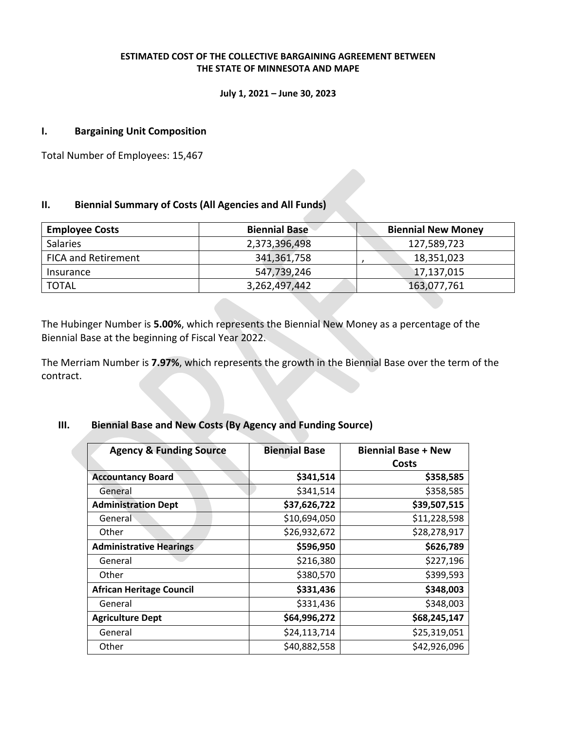## **ESTIMATED COST OF THE COLLECTIVE BARGAINING AGREEMENT BETWEEN THE STATE OF MINNESOTA AND MAPE**

#### **July 1, 2021 – June 30, 2023**

## **I. Bargaining Unit Composition**

Total Number of Employees: 15,467

# **II. Biennial Summary of Costs (All Agencies and All Funds)**

| <b>Employee Costs</b>      | <b>Biennial Base</b> | <b>Biennial New Money</b> |
|----------------------------|----------------------|---------------------------|
| <b>Salaries</b>            | 2,373,396,498        | 127,589,723               |
| <b>FICA and Retirement</b> | 341,361,758          | 18,351,023                |
| Insurance                  | 547,739,246          | 17,137,015                |
| <b>TOTAL</b>               | 3,262,497,442        | 163,077,761               |

The Hubinger Number is **5.00%**, which represents the Biennial New Money as a percentage of the Biennial Base at the beginning of Fiscal Year 2022.

The Merriam Number is **7.97%**, which represents the growth in the Biennial Base over the term of the contract.

# **III. Biennial Base and New Costs (By Agency and Funding Source)**

| <b>Agency &amp; Funding Source</b> | <b>Biennial Base</b> | <b>Biennial Base + New</b><br>Costs |
|------------------------------------|----------------------|-------------------------------------|
| <b>Accountancy Board</b>           | \$341,514            | \$358,585                           |
| General                            | \$341,514            | \$358,585                           |
| <b>Administration Dept</b>         | \$37,626,722         | \$39,507,515                        |
| General                            | \$10,694,050         | \$11,228,598                        |
| Other                              | \$26,932,672         | \$28,278,917                        |
| <b>Administrative Hearings</b>     | \$596,950            | \$626,789                           |
| General                            | \$216,380            | \$227,196                           |
| Other                              | \$380,570            | \$399,593                           |
| <b>African Heritage Council</b>    | \$331,436            | \$348,003                           |
| General                            | \$331,436            | \$348,003                           |
| <b>Agriculture Dept</b>            | \$64,996,272         | \$68,245,147                        |
| General                            | \$24,113,714         | \$25,319,051                        |
| Other                              | \$40,882,558         | \$42,926,096                        |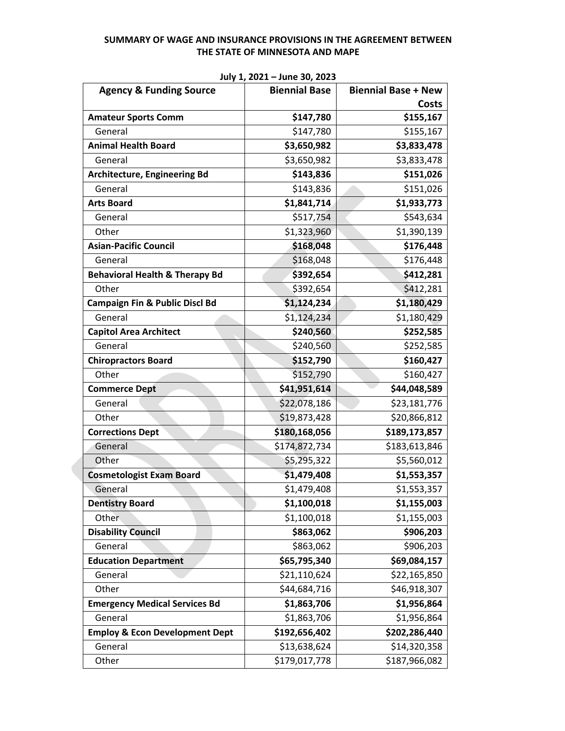| <b>Agency &amp; Funding Source</b>        | <b>Biennial Base</b> | <b>Biennial Base + New</b> |
|-------------------------------------------|----------------------|----------------------------|
|                                           |                      | Costs                      |
| <b>Amateur Sports Comm</b>                | \$147,780            | \$155,167                  |
| General                                   | \$147,780            | \$155,167                  |
| <b>Animal Health Board</b>                | \$3,650,982          | \$3,833,478                |
| General                                   | \$3,650,982          | \$3,833,478                |
| <b>Architecture, Engineering Bd</b>       | \$143,836            | \$151,026                  |
| General                                   | \$143,836            | \$151,026                  |
| <b>Arts Board</b>                         | \$1,841,714          | \$1,933,773                |
| General                                   | \$517,754            | \$543,634                  |
| Other                                     | \$1,323,960          | \$1,390,139                |
| <b>Asian-Pacific Council</b>              | \$168,048            | \$176,448                  |
| General                                   | \$168,048            | \$176,448                  |
| <b>Behavioral Health &amp; Therapy Bd</b> | \$392,654            | \$412,281                  |
| Other                                     | \$392,654            | \$412,281                  |
| <b>Campaign Fin &amp; Public Discl Bd</b> | \$1,124,234          | \$1,180,429                |
| General                                   | \$1,124,234          | \$1,180,429                |
| <b>Capitol Area Architect</b>             | \$240,560            | \$252,585                  |
| General                                   | \$240,560            | \$252,585                  |
| <b>Chiropractors Board</b>                | \$152,790            | \$160,427                  |
| Other                                     | \$152,790            | \$160,427                  |
| <b>Commerce Dept</b>                      | \$41,951,614         | \$44,048,589               |
| General                                   | \$22,078,186         | \$23,181,776               |
| Other                                     | \$19,873,428         | \$20,866,812               |
| <b>Corrections Dept</b>                   | \$180,168,056        | \$189,173,857              |
| General                                   | \$174,872,734        | \$183,613,846              |
| Other                                     | \$5,295,322          | \$5,560,012                |
| <b>Cosmetologist Exam Board</b>           | \$1,479,408          | \$1,553,357                |
| General                                   | \$1,479,408          | \$1,553,357                |
| <b>Dentistry Board</b>                    | \$1,100,018          | \$1,155,003                |
| <b>Other</b>                              | \$1,100,018          | \$1,155,003                |
| <b>Disability Council</b>                 | \$863,062            | \$906,203                  |
| General                                   | \$863,062            | \$906,203                  |
| <b>Education Department</b>               | \$65,795,340         | \$69,084,157               |
| General                                   | \$21,110,624         | \$22,165,850               |
| Other                                     | \$44,684,716         | \$46,918,307               |
| <b>Emergency Medical Services Bd</b>      | \$1,863,706          | \$1,956,864                |
| General                                   | \$1,863,706          | \$1,956,864                |
| <b>Employ &amp; Econ Development Dept</b> | \$192,656,402        | \$202,286,440              |
| General                                   | \$13,638,624         | \$14,320,358               |
| Other                                     | \$179,017,778        | \$187,966,082              |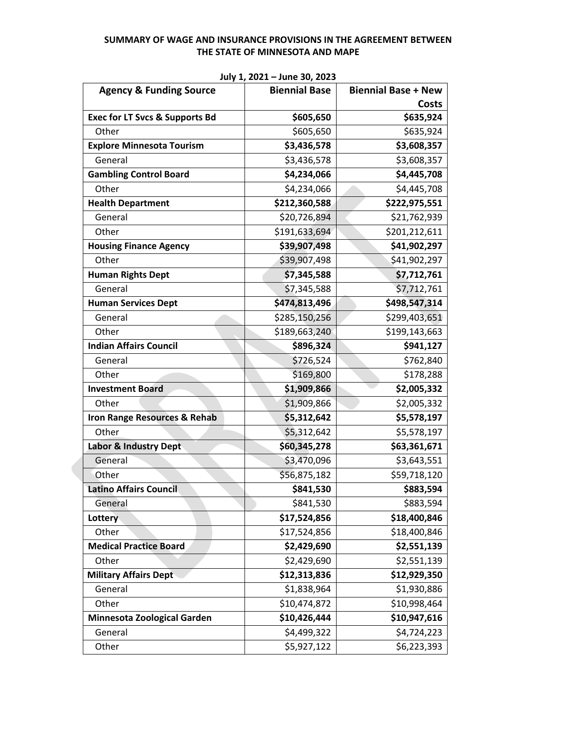| <b>Agency &amp; Funding Source</b>        | $30.9 + 2021 - 30.10 - 30.620$<br><b>Biennial Base</b> | <b>Biennial Base + New</b> |
|-------------------------------------------|--------------------------------------------------------|----------------------------|
|                                           |                                                        | Costs                      |
| <b>Exec for LT Svcs &amp; Supports Bd</b> | \$605,650                                              | \$635,924                  |
| Other                                     | \$605,650                                              | \$635,924                  |
| <b>Explore Minnesota Tourism</b>          | \$3,436,578                                            | \$3,608,357                |
| General                                   | \$3,436,578                                            | \$3,608,357                |
| <b>Gambling Control Board</b>             | \$4,234,066                                            | \$4,445,708                |
| Other                                     | \$4,234,066                                            | \$4,445,708                |
| <b>Health Department</b>                  | \$212,360,588                                          | \$222,975,551              |
| General                                   | \$20,726,894                                           | \$21,762,939               |
| Other                                     | \$191,633,694                                          | \$201,212,611              |
| <b>Housing Finance Agency</b>             | \$39,907,498                                           | \$41,902,297               |
| Other                                     | \$39,907,498                                           | \$41,902,297               |
| <b>Human Rights Dept</b>                  | \$7,345,588                                            | \$7,712,761                |
| General                                   | \$7,345,588                                            | \$7,712,761                |
| <b>Human Services Dept</b>                | \$474,813,496                                          | \$498,547,314              |
| General                                   | \$285,150,256                                          | \$299,403,651              |
| Other                                     | \$189,663,240                                          | \$199,143,663              |
| <b>Indian Affairs Council</b>             | \$896,324                                              | \$941,127                  |
| General                                   | \$726,524                                              | \$762,840                  |
| Other                                     | \$169,800                                              | \$178,288                  |
| <b>Investment Board</b>                   | \$1,909,866                                            | \$2,005,332                |
| Other                                     | \$1,909,866                                            | \$2,005,332                |
| Iron Range Resources & Rehab              | \$5,312,642                                            | \$5,578,197                |
| Other                                     | \$5,312,642                                            | \$5,578,197                |
| <b>Labor &amp; Industry Dept</b>          | \$60,345,278                                           | \$63,361,671               |
| General                                   | \$3,470,096                                            | \$3,643,551                |
| Other                                     | \$56,875,182                                           | \$59,718,120               |
| <b>Latino Affairs Council</b>             | \$841,530                                              | \$883,594                  |
| General                                   | \$841,530                                              | \$883,594                  |
| Lottery                                   | \$17,524,856                                           | \$18,400,846               |
| Other                                     | \$17,524,856                                           | \$18,400,846               |
| <b>Medical Practice Board</b>             | \$2,429,690                                            | \$2,551,139                |
| Other                                     | \$2,429,690                                            | \$2,551,139                |
| <b>Military Affairs Dept</b>              | \$12,313,836                                           | \$12,929,350               |
| General                                   | \$1,838,964                                            | \$1,930,886                |
| Other                                     | \$10,474,872                                           | \$10,998,464               |
| Minnesota Zoological Garden               | \$10,426,444                                           | \$10,947,616               |
| General                                   | \$4,499,322                                            | \$4,724,223                |
| Other                                     | \$5,927,122                                            | \$6,223,393                |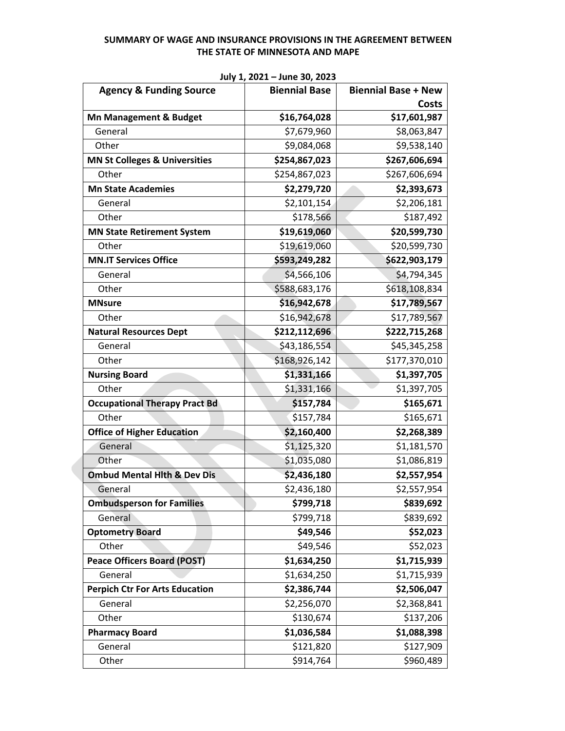| <b>Agency &amp; Funding Source</b>       | $301$ , $4021$ $3011$ $30$ , $2023$<br><b>Biennial Base</b> | <b>Biennial Base + New</b> |
|------------------------------------------|-------------------------------------------------------------|----------------------------|
|                                          |                                                             | <b>Costs</b>               |
| Mn Management & Budget                   | \$16,764,028                                                | \$17,601,987               |
| General                                  | \$7,679,960                                                 | \$8,063,847                |
| Other                                    | \$9,084,068                                                 | \$9,538,140                |
| <b>MN St Colleges &amp; Universities</b> | \$254,867,023                                               | \$267,606,694              |
| Other                                    | \$254,867,023                                               | \$267,606,694              |
| <b>Mn State Academies</b>                | \$2,279,720                                                 | \$2,393,673                |
| General                                  | \$2,101,154                                                 | \$2,206,181                |
| Other                                    | \$178,566                                                   | \$187,492                  |
| <b>MN State Retirement System</b>        | \$19,619,060                                                | \$20,599,730               |
| Other                                    | \$19,619,060                                                | \$20,599,730               |
| <b>MN.IT Services Office</b>             | \$593,249,282                                               | \$622,903,179              |
| General                                  | \$4,566,106                                                 | \$4,794,345                |
| Other                                    | \$588,683,176                                               | \$618,108,834              |
| <b>MNsure</b>                            | \$16,942,678                                                | \$17,789,567               |
| Other                                    | \$16,942,678                                                | \$17,789,567               |
| <b>Natural Resources Dept</b>            | \$212,112,696                                               | \$222,715,268              |
| General                                  | \$43,186,554                                                | \$45,345,258               |
| Other                                    | \$168,926,142                                               | \$177,370,010              |
| <b>Nursing Board</b>                     | \$1,331,166                                                 | \$1,397,705                |
| Other                                    | \$1,331,166                                                 | \$1,397,705                |
| <b>Occupational Therapy Pract Bd</b>     | \$157,784                                                   | \$165,671                  |
| Other                                    | \$157,784                                                   | \$165,671                  |
| <b>Office of Higher Education</b>        | \$2,160,400                                                 | \$2,268,389                |
| General                                  | \$1,125,320                                                 | \$1,181,570                |
| Other                                    | \$1,035,080                                                 | \$1,086,819                |
| <b>Ombud Mental Hith &amp; Dev Dis</b>   | \$2,436,180                                                 | \$2,557,954                |
| General                                  | \$2,436,180                                                 | \$2,557,954                |
| <b>Ombudsperson for Families</b>         | \$799,718                                                   | \$839,692                  |
| General                                  | \$799,718                                                   | \$839,692                  |
| <b>Optometry Board</b>                   | \$49,546                                                    | \$52,023                   |
| Other                                    | \$49,546                                                    | \$52,023                   |
| <b>Peace Officers Board (POST)</b>       | \$1,634,250                                                 | \$1,715,939                |
| General                                  | \$1,634,250                                                 | \$1,715,939                |
| <b>Perpich Ctr For Arts Education</b>    | \$2,386,744                                                 | \$2,506,047                |
| General                                  | \$2,256,070                                                 | \$2,368,841                |
| Other                                    | \$130,674                                                   | \$137,206                  |
| <b>Pharmacy Board</b>                    | \$1,036,584                                                 | \$1,088,398                |
| General                                  | \$121,820                                                   | \$127,909                  |
| Other                                    | \$914,764                                                   | \$960,489                  |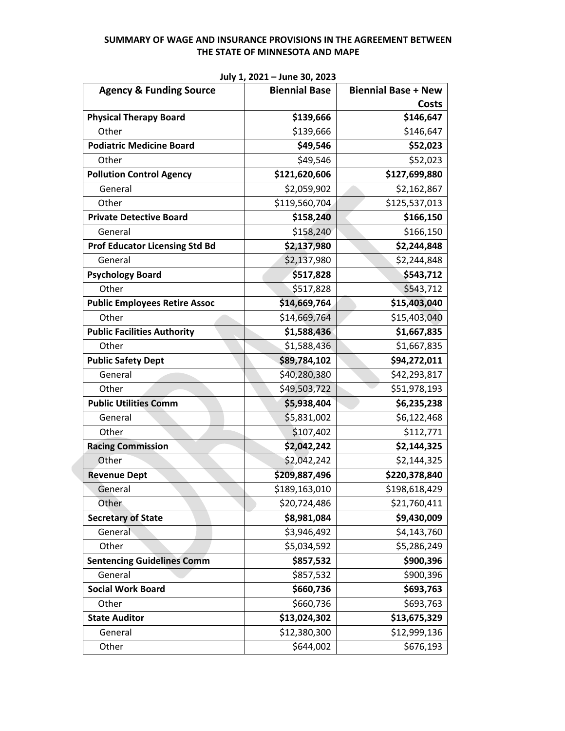| <b>Agency &amp; Funding Source</b>    | <b>Biennial Base</b> | <b>Biennial Base + New</b> |
|---------------------------------------|----------------------|----------------------------|
|                                       |                      | <b>Costs</b>               |
| <b>Physical Therapy Board</b>         | \$139,666            | \$146,647                  |
| Other                                 | \$139,666            | \$146,647                  |
| <b>Podiatric Medicine Board</b>       | \$49,546             | \$52,023                   |
| Other                                 | \$49,546             | \$52,023                   |
| <b>Pollution Control Agency</b>       | \$121,620,606        | \$127,699,880              |
| General                               | \$2,059,902          | \$2,162,867                |
| Other                                 | \$119,560,704        | \$125,537,013              |
| <b>Private Detective Board</b>        | \$158,240            | \$166,150                  |
| General                               | \$158,240            | \$166,150                  |
| <b>Prof Educator Licensing Std Bd</b> | \$2,137,980          | \$2,244,848                |
| General                               | \$2,137,980          | \$2,244,848                |
| <b>Psychology Board</b>               | \$517,828            | \$543,712                  |
| Other                                 | \$517,828            | \$543,712                  |
| <b>Public Employees Retire Assoc</b>  | \$14,669,764         | \$15,403,040               |
| Other                                 | \$14,669,764         | \$15,403,040               |
| <b>Public Facilities Authority</b>    | \$1,588,436          | \$1,667,835                |
| Other                                 | \$1,588,436          | \$1,667,835                |
| <b>Public Safety Dept</b>             | \$89,784,102         | \$94,272,011               |
| General                               | \$40,280,380         | \$42,293,817               |
| Other                                 | \$49,503,722         | \$51,978,193               |
| <b>Public Utilities Comm</b>          | \$5,938,404          | \$6,235,238                |
| General                               | \$5,831,002          | \$6,122,468                |
| Other                                 | \$107,402            | \$112,771                  |
| <b>Racing Commission</b>              | \$2,042,242          | \$2,144,325                |
| Other                                 | \$2,042,242          | \$2,144,325                |
| <b>Revenue Dept</b>                   | \$209,887,496        | \$220,378,840              |
| General                               | \$189,163,010        | \$198,618,429              |
| Other                                 | \$20,724,486         | \$21,760,411               |
| <b>Secretary of State</b>             | \$8,981,084          | \$9,430,009                |
| General                               | \$3,946,492          | \$4,143,760                |
| Other                                 | \$5,034,592          | \$5,286,249                |
| <b>Sentencing Guidelines Comm</b>     | \$857,532            | \$900,396                  |
| General                               | \$857,532            | \$900,396                  |
| <b>Social Work Board</b>              | \$660,736            | \$693,763                  |
| Other                                 | \$660,736            | \$693,763                  |
| <b>State Auditor</b>                  | \$13,024,302         | \$13,675,329               |
| General                               | \$12,380,300         | \$12,999,136               |
| Other                                 | \$644,002            | \$676,193                  |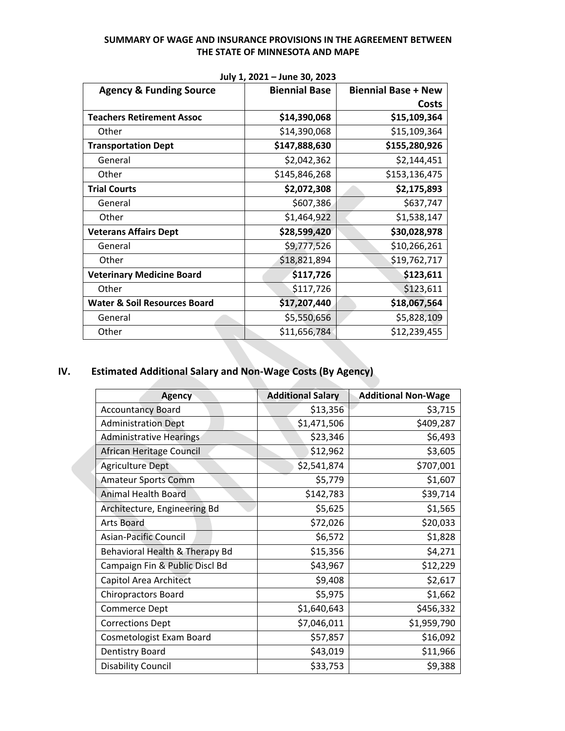|                                         | JUIY 1, LULI<br>JUIIL JU, LULJ |                            |
|-----------------------------------------|--------------------------------|----------------------------|
| <b>Agency &amp; Funding Source</b>      | <b>Biennial Base</b>           | <b>Biennial Base + New</b> |
|                                         |                                | Costs                      |
| <b>Teachers Retirement Assoc</b>        | \$14,390,068                   | \$15,109,364               |
| Other                                   | \$14,390,068                   | \$15,109,364               |
| <b>Transportation Dept</b>              | \$147,888,630                  | \$155,280,926              |
| General                                 | \$2,042,362                    | \$2,144,451                |
| Other                                   | \$145,846,268                  | \$153,136,475              |
| <b>Trial Courts</b>                     | \$2,072,308                    | \$2,175,893                |
| General                                 | \$607,386                      | \$637,747                  |
| Other                                   | \$1,464,922                    | \$1,538,147                |
| <b>Veterans Affairs Dept</b>            | \$28,599,420                   | \$30,028,978               |
| General                                 | \$9,777,526                    | \$10,266,261               |
| Other                                   | \$18,821,894                   | \$19,762,717               |
| <b>Veterinary Medicine Board</b>        | \$117,726                      | \$123,611                  |
| Other                                   | \$117,726                      | \$123,611                  |
| <b>Water &amp; Soil Resources Board</b> | \$17,207,440                   | \$18,067,564               |
| General                                 | \$5,550,656                    | \$5,828,109                |
| Other                                   | \$11,656,784                   | \$12,239,455               |

**July 1, 2021 – June 30, 2023** 

# **IV. Estimated Additional Salary and Non-Wage Costs (By Agency)**

N.

| <b>Agency</b>                  | <b>Additional Salary</b> | <b>Additional Non-Wage</b> |
|--------------------------------|--------------------------|----------------------------|
| <b>Accountancy Board</b>       | \$13,356                 | \$3,715                    |
| <b>Administration Dept</b>     | \$1,471,506              | \$409,287                  |
| <b>Administrative Hearings</b> | \$23,346                 | \$6,493                    |
| African Heritage Council       | \$12,962                 | \$3,605                    |
| <b>Agriculture Dept</b>        | \$2,541,874              | \$707,001                  |
| <b>Amateur Sports Comm</b>     | \$5,779                  | \$1,607                    |
| <b>Animal Health Board</b>     | \$142,783                | \$39,714                   |
| Architecture, Engineering Bd   | \$5,625                  | \$1,565                    |
| <b>Arts Board</b>              | \$72,026                 | \$20,033                   |
| Asian-Pacific Council          | \$6,572                  | \$1,828                    |
| Behavioral Health & Therapy Bd | \$15,356                 | \$4,271                    |
| Campaign Fin & Public Discl Bd | \$43,967                 | \$12,229                   |
| Capitol Area Architect         | \$9,408                  | \$2,617                    |
| <b>Chiropractors Board</b>     | \$5,975                  | \$1,662                    |
| Commerce Dept                  | \$1,640,643              | \$456,332                  |
| <b>Corrections Dept</b>        | \$7,046,011              | \$1,959,790                |
| Cosmetologist Exam Board       | \$57,857                 | \$16,092                   |
| <b>Dentistry Board</b>         | \$43,019                 | \$11,966                   |
| <b>Disability Council</b>      | \$33,753                 | \$9,388                    |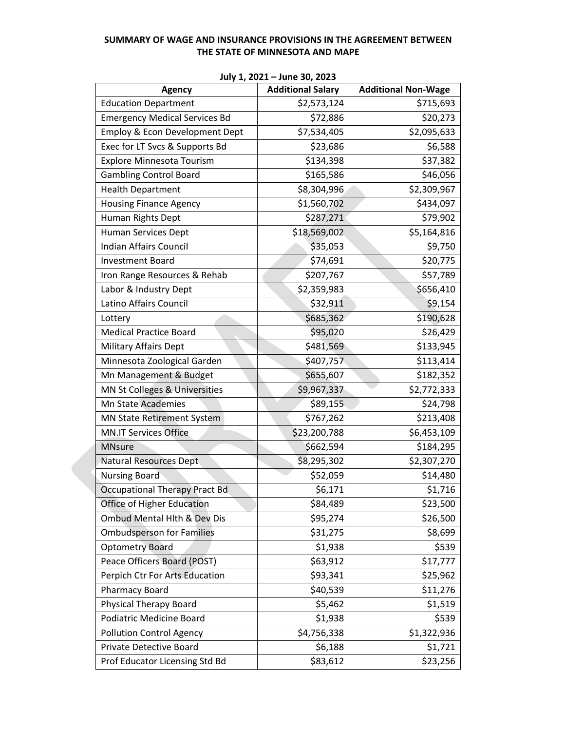| <b>Agency</b>                          | <b>Additional Salary</b> | <b>Additional Non-Wage</b> |
|----------------------------------------|--------------------------|----------------------------|
| <b>Education Department</b>            | \$2,573,124              | \$715,693                  |
| <b>Emergency Medical Services Bd</b>   | \$72,886                 | \$20,273                   |
| Employ & Econ Development Dept         | \$7,534,405              | \$2,095,633                |
| Exec for LT Svcs & Supports Bd         | \$23,686                 | \$6,588                    |
| <b>Explore Minnesota Tourism</b>       | \$134,398                | \$37,382                   |
| <b>Gambling Control Board</b>          | \$165,586                | \$46,056                   |
| <b>Health Department</b>               | \$8,304,996              | \$2,309,967                |
| <b>Housing Finance Agency</b>          | \$1,560,702              | \$434,097                  |
| Human Rights Dept                      | \$287,271                | \$79,902                   |
| Human Services Dept                    | \$18,569,002             | \$5,164,816                |
| Indian Affairs Council                 | \$35,053                 | \$9,750                    |
| <b>Investment Board</b>                | \$74,691                 | \$20,775                   |
| Iron Range Resources & Rehab           | \$207,767                | \$57,789                   |
| Labor & Industry Dept                  | \$2,359,983              | \$656,410                  |
| Latino Affairs Council                 | \$32,911                 | \$9,154                    |
| Lottery                                | \$685,362                | \$190,628                  |
| <b>Medical Practice Board</b>          | \$95,020                 | \$26,429                   |
| <b>Military Affairs Dept</b>           | \$481,569                | \$133,945                  |
| Minnesota Zoological Garden            | \$407,757                | \$113,414                  |
| Mn Management & Budget                 | \$655,607                | \$182,352                  |
| MN St Colleges & Universities          | \$9,967,337              | \$2,772,333                |
| <b>Mn State Academies</b>              | \$89,155                 | \$24,798                   |
| <b>MN State Retirement System</b>      | \$767,262                | \$213,408                  |
| <b>MN.IT Services Office</b>           | \$23,200,788             | \$6,453,109                |
| <b>MNsure</b>                          | \$662,594                | \$184,295                  |
| <b>Natural Resources Dept</b>          | \$8,295,302              | \$2,307,270                |
| <b>Nursing Board</b>                   | \$52,059                 | \$14,480                   |
| <b>Occupational Therapy Pract Bd</b>   | \$6,171                  | \$1,716                    |
| Office of Higher Education             | \$84,489                 | \$23,500                   |
| <b>Ombud Mental Hith &amp; Dev Dis</b> | \$95,274                 | \$26,500                   |
| <b>Ombudsperson for Families</b>       | \$31,275                 | \$8,699                    |
| <b>Optometry Board</b>                 | \$1,938                  | \$539                      |
| Peace Officers Board (POST)            | \$63,912                 | \$17,777                   |
| Perpich Ctr For Arts Education         | \$93,341                 | \$25,962                   |
| <b>Pharmacy Board</b>                  | \$40,539                 | \$11,276                   |
| Physical Therapy Board                 | \$5,462                  | \$1,519                    |
| <b>Podiatric Medicine Board</b>        | \$1,938                  | \$539                      |
| <b>Pollution Control Agency</b>        | \$4,756,338              | \$1,322,936                |
| Private Detective Board                | \$6,188                  | \$1,721                    |
| Prof Educator Licensing Std Bd         | \$83,612                 | \$23,256                   |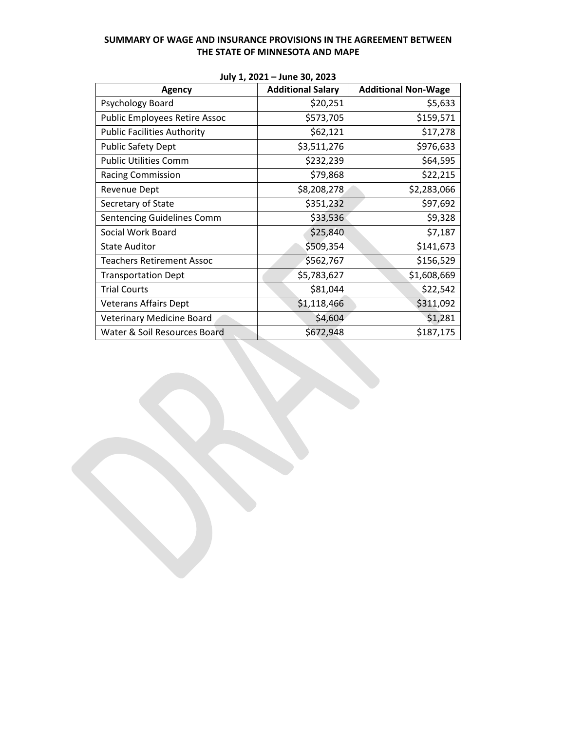| <b>Agency</b>                        | $301$ , $4$ , $2021$ $3011$ $30$ , $2023$<br><b>Additional Salary</b> | <b>Additional Non-Wage</b> |
|--------------------------------------|-----------------------------------------------------------------------|----------------------------|
| Psychology Board                     | \$20,251                                                              | \$5,633                    |
| <b>Public Employees Retire Assoc</b> | \$573,705                                                             | \$159,571                  |
| <b>Public Facilities Authority</b>   | \$62,121                                                              | \$17,278                   |
| <b>Public Safety Dept</b>            | \$3,511,276                                                           | \$976,633                  |
| <b>Public Utilities Comm</b>         | \$232,239                                                             | \$64,595                   |
| <b>Racing Commission</b>             | \$79,868                                                              | \$22,215                   |
| <b>Revenue Dept</b>                  | \$8,208,278                                                           | \$2,283,066                |
| Secretary of State                   | \$351,232                                                             | \$97,692                   |
| Sentencing Guidelines Comm           | \$33,536                                                              | \$9,328                    |
| Social Work Board                    | \$25,840                                                              | \$7,187                    |
| <b>State Auditor</b>                 | \$509,354                                                             | \$141,673                  |
| <b>Teachers Retirement Assoc</b>     | \$562,767                                                             | \$156,529                  |
| <b>Transportation Dept</b>           | \$5,783,627                                                           | \$1,608,669                |
| <b>Trial Courts</b>                  | \$81,044                                                              | \$22,542                   |
| <b>Veterans Affairs Dept</b>         | \$1,118,466                                                           | \$311,092                  |
| Veterinary Medicine Board            | \$4,604                                                               | \$1,281                    |
| Water & Soil Resources Board         | \$672,948                                                             | \$187,175                  |